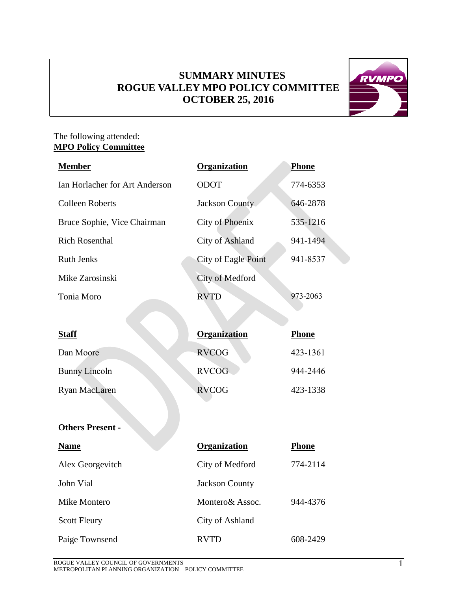# **SUMMARY MINUTES ROGUE VALLEY MPO POLICY COMMITTEE OCTOBER 25, 2016**



### The following attended: **MPO Policy Committee**

| <b>Member</b>                  | <b>Organization</b>    | <b>Phone</b> |
|--------------------------------|------------------------|--------------|
| Ian Horlacher for Art Anderson | <b>ODOT</b>            | 774-6353     |
| <b>Colleen Roberts</b>         | <b>Jackson County</b>  | 646-2878     |
| Bruce Sophie, Vice Chairman    | <b>City of Phoenix</b> | 535-1216     |
| <b>Rich Rosenthal</b>          | City of Ashland        | 941-1494     |
| <b>Ruth Jenks</b>              | City of Eagle Point    | 941-8537     |
| Mike Zarosinski                | City of Medford        |              |
| Tonia Moro                     | <b>RVTD</b>            | 973-2063     |
|                                |                        |              |
| <b>Staff</b>                   | <b>Organization</b>    | <b>Phone</b> |
| Dan Moore                      | <b>RVCOG</b>           | 423-1361     |
| <b>Bunny Lincoln</b>           | <b>RVCOG</b>           | 944-2446     |
| <b>Ryan MacLaren</b>           | <b>RVCOG</b>           | 423-1338     |
|                                |                        |              |
| <b>Others Present -</b>        |                        |              |

| <b>Name</b>         | Organization          | Phone    |
|---------------------|-----------------------|----------|
| Alex Georgevitch    | City of Medford       | 774-2114 |
| John Vial           | <b>Jackson County</b> |          |
| Mike Montero        | Montero & Assoc.      | 944-4376 |
| <b>Scott Fleury</b> | City of Ashland       |          |
| Paige Townsend      | <b>RVTD</b>           | 608-2429 |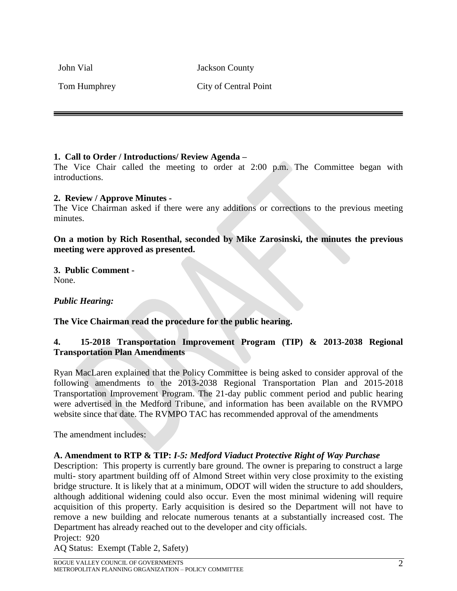John Vial Jackson County

Tom Humphrey City of Central Point

# **1. Call to Order / Introductions/ Review Agenda –**

The Vice Chair called the meeting to order at 2:00 p.m. The Committee began with introductions.

### **2. Review / Approve Minutes -**

The Vice Chairman asked if there were any additions or corrections to the previous meeting minutes.

**On a motion by Rich Rosenthal, seconded by Mike Zarosinski, the minutes the previous meeting were approved as presented.** 

**3. Public Comment -** None.

*Public Hearing:*

**The Vice Chairman read the procedure for the public hearing.**

# **4. 15-2018 Transportation Improvement Program (TIP) & 2013-2038 Regional Transportation Plan Amendments**

Ryan MacLaren explained that the Policy Committee is being asked to consider approval of the following amendments to the 2013-2038 Regional Transportation Plan and 2015-2018 Transportation Improvement Program. The 21-day public comment period and public hearing were advertised in the Medford Tribune, and information has been available on the RVMPO website since that date. The RVMPO TAC has recommended approval of the amendments

The amendment includes:

# **A. Amendment to RTP & TIP:** *I-5: Medford Viaduct Protective Right of Way Purchase*

Description: This property is currently bare ground. The owner is preparing to construct a large multi- story apartment building off of Almond Street within very close proximity to the existing bridge structure. It is likely that at a minimum, ODOT will widen the structure to add shoulders, although additional widening could also occur. Even the most minimal widening will require acquisition of this property. Early acquisition is desired so the Department will not have to remove a new building and relocate numerous tenants at a substantially increased cost. The Department has already reached out to the developer and city officials. Project: 920

AQ Status: Exempt (Table 2, Safety)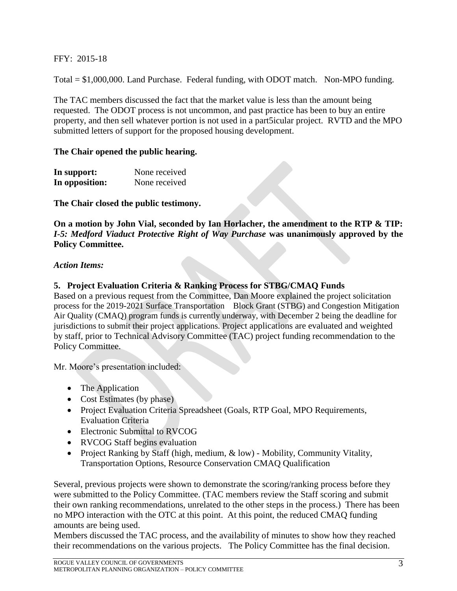FFY: 2015-18

Total = \$1,000,000. Land Purchase. Federal funding, with ODOT match. Non-MPO funding.

The TAC members discussed the fact that the market value is less than the amount being requested. The ODOT process is not uncommon, and past practice has been to buy an entire property, and then sell whatever portion is not used in a part5icular project. RVTD and the MPO submitted letters of support for the proposed housing development.

#### **The Chair opened the public hearing.**

| In support:    | None received |
|----------------|---------------|
| In opposition: | None received |

**The Chair closed the public testimony.**

**On a motion by John Vial, seconded by Ian Horlacher, the amendment to the RTP & TIP:**  *I-5: Medford Viaduct Protective Right of Way Purchase* **was unanimously approved by the Policy Committee.** 

#### *Action Items:*

#### **5. Project Evaluation Criteria & Ranking Process for STBG/CMAQ Funds**

Based on a previous request from the Committee, Dan Moore explained the project solicitation process for the 2019-2021 Surface Transportation Block Grant (STBG) and Congestion Mitigation Air Quality (CMAQ) program funds is currently underway, with December 2 being the deadline for jurisdictions to submit their project applications. Project applications are evaluated and weighted by staff, prior to Technical Advisory Committee (TAC) project funding recommendation to the Policy Committee.

Mr. Moore's presentation included:

- The Application
- Cost Estimates (by phase)
- Project Evaluation Criteria Spreadsheet (Goals, RTP Goal, MPO Requirements, Evaluation Criteria
- Electronic Submittal to RVCOG
- RVCOG Staff begins evaluation
- Project Ranking by Staff (high, medium, & low) Mobility, Community Vitality, Transportation Options, Resource Conservation CMAQ Qualification

Several, previous projects were shown to demonstrate the scoring/ranking process before they were submitted to the Policy Committee. (TAC members review the Staff scoring and submit their own ranking recommendations, unrelated to the other steps in the process.) There has been no MPO interaction with the OTC at this point. At this point, the reduced CMAQ funding amounts are being used.

Members discussed the TAC process, and the availability of minutes to show how they reached their recommendations on the various projects. The Policy Committee has the final decision.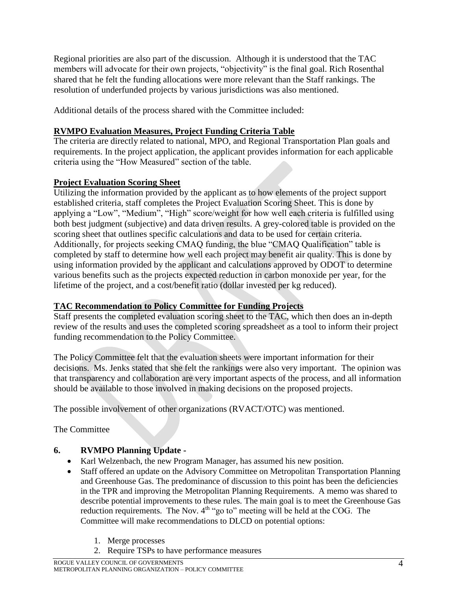Regional priorities are also part of the discussion. Although it is understood that the TAC members will advocate for their own projects, "objectivity" is the final goal. Rich Rosenthal shared that he felt the funding allocations were more relevant than the Staff rankings. The resolution of underfunded projects by various jurisdictions was also mentioned.

Additional details of the process shared with the Committee included:

# **RVMPO Evaluation Measures, Project Funding Criteria Table**

The criteria are directly related to national, MPO, and Regional Transportation Plan goals and requirements. In the project application, the applicant provides information for each applicable criteria using the "How Measured" section of the table.

# **Project Evaluation Scoring Sheet**

Utilizing the information provided by the applicant as to how elements of the project support established criteria, staff completes the Project Evaluation Scoring Sheet. This is done by applying a "Low", "Medium", "High" score/weight for how well each criteria is fulfilled using both best judgment (subjective) and data driven results. A grey-colored table is provided on the scoring sheet that outlines specific calculations and data to be used for certain criteria. Additionally, for projects seeking CMAQ funding, the blue "CMAQ Qualification" table is completed by staff to determine how well each project may benefit air quality. This is done by using information provided by the applicant and calculations approved by ODOT to determine various benefits such as the projects expected reduction in carbon monoxide per year, for the lifetime of the project, and a cost/benefit ratio (dollar invested per kg reduced).

# **TAC Recommendation to Policy Committee for Funding Projects**

Staff presents the completed evaluation scoring sheet to the TAC, which then does an in-depth review of the results and uses the completed scoring spreadsheet as a tool to inform their project funding recommendation to the Policy Committee.

The Policy Committee felt that the evaluation sheets were important information for their decisions. Ms. Jenks stated that she felt the rankings were also very important. The opinion was that transparency and collaboration are very important aspects of the process, and all information should be available to those involved in making decisions on the proposed projects.

The possible involvement of other organizations (RVACT/OTC) was mentioned.

The Committee

# **6. RVMPO Planning Update -**

- Karl Welzenbach, the new Program Manager, has assumed his new position.
- Staff offered an update on the Advisory Committee on Metropolitan Transportation Planning and Greenhouse Gas. The predominance of discussion to this point has been the deficiencies in the TPR and improving the Metropolitan Planning Requirements. A memo was shared to describe potential improvements to these rules. The main goal is to meet the Greenhouse Gas reduction requirements. The Nov. 4<sup>th</sup> "go to" meeting will be held at the COG. The Committee will make recommendations to DLCD on potential options:
	- 1. Merge processes
	- 2. Require TSPs to have performance measures